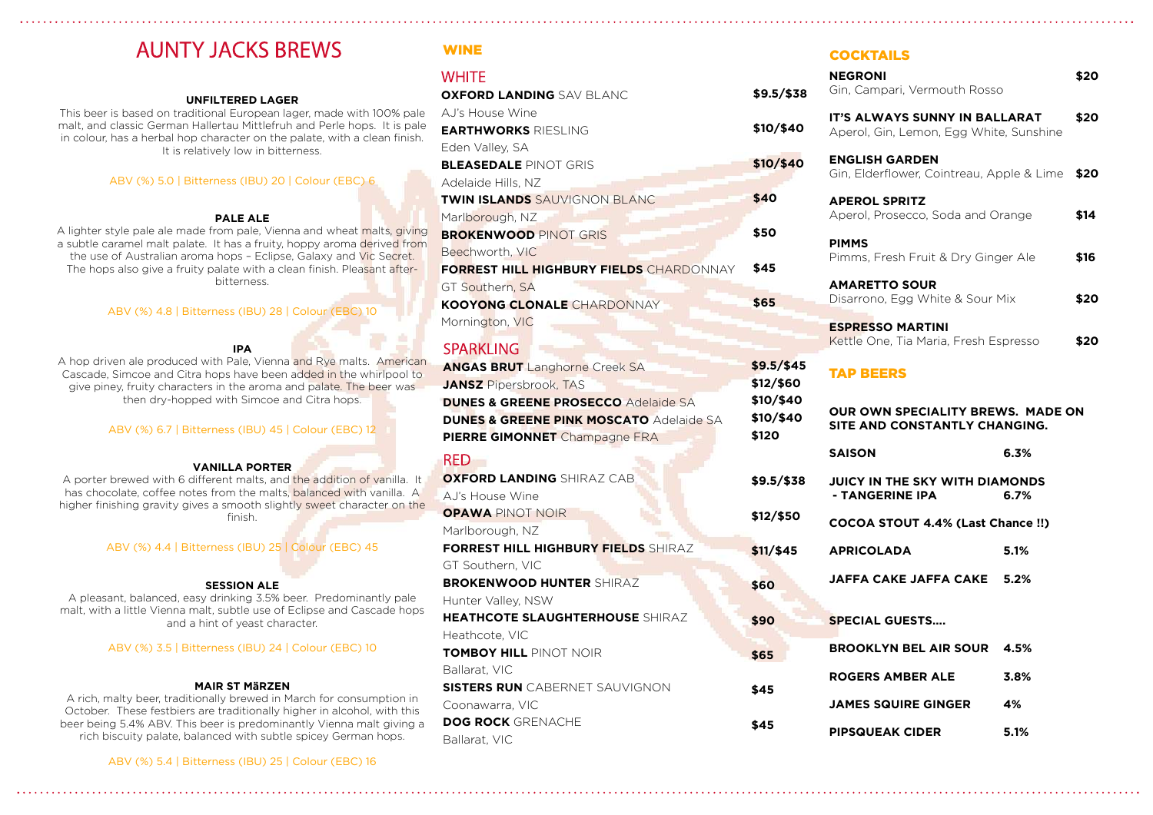This beer is based on traditional European lager, made with 100% pale malt, and classic German Hallertau Mittlefruh and Perle hops. It is pale in colour, has a herbal hop character on the palate, with a clean finish. It is relatively low in bitterness.

A porter brewed with 6 different malts, and the addition of vanilla. It has chocolate, coffee notes from the malts, balanced with vanilla. A higher finishing gravity gives a smooth slightly sweet character on the finish.

# **AUNTY JACKS BREWS**

## UNFILTERED LAGER

## ABV (%) 5.0 | Bitterness (IBU) 20 | Colour (EBC) 6

### PALE ALE

| <b>WINE</b>                                        |                                                                    | <b>COCKTAILS</b>                                                         |      |  |
|----------------------------------------------------|--------------------------------------------------------------------|--------------------------------------------------------------------------|------|--|
| WHITE                                              |                                                                    | <b>NEGRONI</b>                                                           | \$20 |  |
| <b>OXFORD LANDING</b> SAV BLANC                    | $$9.5/\$38$                                                        | Gin, Campari, Vermouth Rosso                                             |      |  |
| AJ's House Wine                                    |                                                                    | IT'S ALWAYS SUNNY IN BALLARAT                                            | \$20 |  |
| <b>EARTHWORKS RIESLING</b>                         | \$10/\$40                                                          | Aperol, Gin, Lemon, Egg White, Sunshine                                  |      |  |
| Eden Valley, SA                                    |                                                                    |                                                                          |      |  |
| <b>BLEASEDALE PINOT GRIS</b>                       | \$10/\$40                                                          | <b>ENGLISH GARDEN</b><br>Gin, Elderflower, Cointreau, Apple & Lime       |      |  |
| Adelaide Hills, NZ                                 |                                                                    |                                                                          | \$20 |  |
| TWIN ISLANDS SAUVIGNON BLANC                       | \$40                                                               | <b>APEROL SPRITZ</b><br>\$14<br>Aperol, Prosecco, Soda and Orange        |      |  |
| Marlborough, NZ                                    |                                                                    |                                                                          |      |  |
| <b>BROKENWOOD PINOT GRIS</b>                       | \$50                                                               | <b>PIMMS</b>                                                             |      |  |
| Beechworth, VIC                                    |                                                                    | Pimms, Fresh Fruit & Dry Ginger Ale                                      | \$16 |  |
| FORREST HILL HIGHBURY FIELDS CHARDONNAY            | \$45                                                               |                                                                          |      |  |
| GT Southern, SA                                    |                                                                    | <b>AMARETTO SOUR</b>                                                     |      |  |
| KOOYONG CLONALE CHARDONNAY                         | \$65                                                               | Disarrono, Egg White & Sour Mix                                          | \$20 |  |
| Mornington, VIC                                    |                                                                    | <b>ESPRESSO MARTINI</b><br>\$20<br>Kettle One, Tia Maria, Fresh Espresso |      |  |
|                                                    |                                                                    |                                                                          |      |  |
| <b>SPARKLING</b>                                   | $$9.5/\$45$                                                        |                                                                          |      |  |
| <b>ANGAS BRUT</b> Langhorne Creek SA               | \$12/ \$60                                                         | <b>TAP BEERS</b>                                                         |      |  |
| <b>JANSZ</b> Pipersbrook, TAS                      |                                                                    |                                                                          |      |  |
| <b>DUNES &amp; GREENE PROSECCO Adelaide SA</b>     | \$10/\$40<br><b>OUR OWN SPECIALITY BREWS. MADE ON</b><br>\$10/\$40 |                                                                          |      |  |
| <b>DUNES &amp; GREENE PINK MOSCATO Adelaide SA</b> | \$120                                                              | SITE AND CONSTANTLY CHANGING.                                            |      |  |
| <b>PIERRE GIMONNET</b> Champagne FRA               |                                                                    | <b>SAISON</b>                                                            | 6.3% |  |
| <b>RED</b>                                         |                                                                    |                                                                          |      |  |
| <b>OXFORD LANDING</b> SHIRAZ CAB                   | $$9.5/\$38$                                                        | <b>JUICY IN THE SKY WITH DIAMONDS</b>                                    |      |  |
| AJ's House Wine                                    |                                                                    | - TANGERINE IPA                                                          | 6.7% |  |
| <b>OPAWA PINOT NOIR</b>                            | \$12/ \$50                                                         | <b>COCOA STOUT 4.4% (Last Chance !!)</b>                                 |      |  |
| Marlborough, NZ                                    |                                                                    |                                                                          |      |  |
| <b>FORREST HILL HIGHBURY FIELDS SHIRAZ</b>         | $$11/$ \$45                                                        | <b>APRICOLADA</b>                                                        | 5.1% |  |
| GT Southern, VIC                                   |                                                                    |                                                                          |      |  |
| <b>BROKENWOOD HUNTER SHIRAZ</b>                    | \$60                                                               | <b>JAFFA CAKE JAFFA CAKE</b>                                             | 5.2% |  |
| Hunter Valley, NSW                                 |                                                                    |                                                                          |      |  |
| HEATHCOTE SLAUGHTERHOUSE SHIRAZ                    | \$90                                                               | <b>SPECIAL GUESTS</b>                                                    |      |  |
| Heathcote, VIC                                     |                                                                    |                                                                          |      |  |
| <b>TOMBOY HILL PINOT NOIR</b>                      | \$65                                                               | <b>BROOKLYN BEL AIR SOUR</b>                                             | 4.5% |  |
| Ballarat, VIC                                      |                                                                    | <b>ROGERS AMBER ALE</b>                                                  | 3.8% |  |
| <b>SISTERS RUN</b> CABERNET SAUVIGNON              | \$45                                                               |                                                                          |      |  |
| Coonawarra, VIC                                    |                                                                    | <b>JAMES SQUIRE GINGER</b>                                               | 4%   |  |
| <b>DOG ROCK GRENACHE</b>                           | \$45                                                               | <b>PIPSQUEAK CIDER</b>                                                   |      |  |
| Ballarat, VIC                                      |                                                                    |                                                                          | 5.1% |  |

A lighter style pale ale made from pale, Vienna and wheat malts, giving a subtle caramel malt palate. It has a fruity, hoppy aroma derived from the use of Australian aroma hops - Eclipse, Galaxy and Vic Secret. The hops also give a fruity palate with a clean finish. Pleasant afterbitterness.

ABV (%) 4.8 | Bitterness (IBU) 28 | Colour (EBC) 10

### IPA

A hop driven ale produced with Pale, Vienna and Rye malts. American Cascade, Simcoe and Citra hops have been added in the whirlpool to give piney, fruity characters in the aroma and palate. The beer was then dry-hopped with Simcoe and Citra hops.

## ABV (%) 6.7 | Bitterness (IBU) 45 | Colour (EBC) 12

### VANILLA PORTER

ABV (%) 4.4 | Bitterness (IBU) 25 | Colour (EBC) 45

### SESSION ALE

A pleasant, balanced, easy drinking 3.5% beer. Predominantly pale malt, with a little Vienna malt, subtle use of Eclipse and Cascade hops and a hint of yeast character.

ABV (%) 3.5 | Bitterness (IBU) 24 | Colour (EBC) 10

### MAIR ST MäRZEN

A rich, malty beer, traditionally brewed in March for consumption in October. These festbiers are traditionally higher in alcohol, with this beer being 5.4% ABV. This beer is predominantly Vienna malt giving a rich biscuity palate, balanced with subtle spicey German hops.

ABV (%) 5.4 | Bitterness (IBU) 25 | Colour (EBC) 16

j.